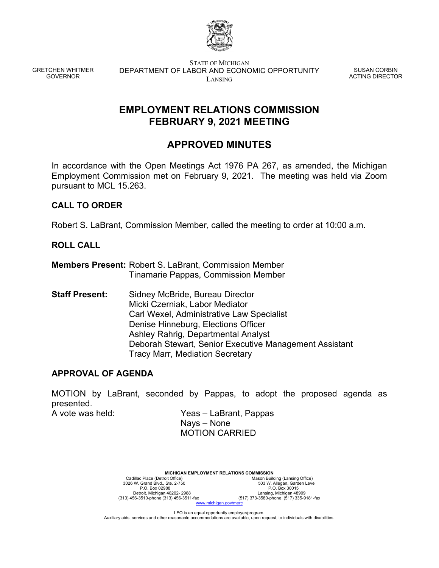

GRETCHEN WHITMER GOVERNOR

STATE OF MICHIGAN DEPARTMENT OF LABOR AND ECONOMIC OPPORTUNITY LANSING

SUSAN CORBIN ACTING DIRECTOR

## **EMPLOYMENT RELATIONS COMMISSION FEBRUARY 9, 2021 MEETING**

# **APPROVED MINUTES**

In accordance with the Open Meetings Act 1976 PA 267, as amended, the Michigan Employment Commission met on February 9, 2021. The meeting was held via Zoom pursuant to MCL 15.263.

## **CALL TO ORDER**

Robert S. LaBrant, Commission Member, called the meeting to order at 10:00 a.m.

## **ROLL CALL**

**Members Present:** Robert S. LaBrant, Commission Member Tinamarie Pappas, Commission Member

**Staff Present:** Sidney McBride, Bureau Director Micki Czerniak, Labor Mediator Carl Wexel, Administrative Law Specialist Denise Hinneburg, Elections Officer Ashley Rahrig, Departmental Analyst Deborah Stewart, Senior Executive Management Assistant Tracy Marr, Mediation Secretary

### **APPROVAL OF AGENDA**

MOTION by LaBrant, seconded by Pappas, to adopt the proposed agenda as presented.

A vote was held: Yeas – LaBrant, Pappas Nays – None MOTION CARRIED

> **MICHIGAN EMPLOYMENT RELATIONS COMMISSION**<br>Cadillac Place (Detroit Office) Mason Build Cadillac Place (Detroit Office) Mason Building (Lansing Office)<br>3026 W. Grand Blvd., Ste. 2-750 503 W. Allegan, Garden Level P.O. Box 02988 P.O. Box 30015 Detroit, Michigan 48202- 2988 Lansing, Michigan 48909 (313) 456-3510-phone (313) 456-3511-fax (517) 373-3580-phone (517) 335-9181-fax Detroit, Michigan 48202-2988<br>
> (313) 456-3510-phone (313) 456-3511-fax<br>
> www.michigan.gov/m

LEO is an equal opportunity employer/program. Auxiliary aids, services and other reasonable accommodations are available, upon request, to individuals with disabilities.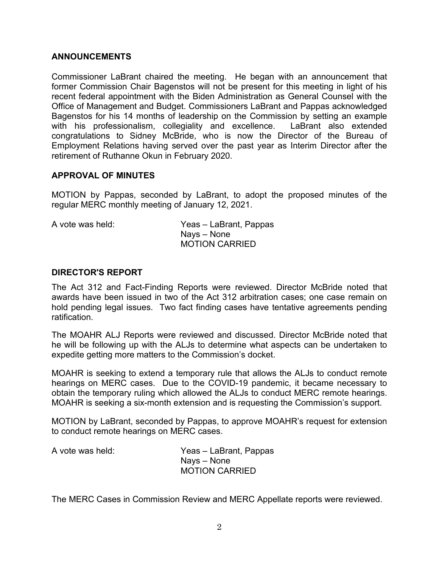#### **ANNOUNCEMENTS**

Commissioner LaBrant chaired the meeting. He began with an announcement that former Commission Chair Bagenstos will not be present for this meeting in light of his recent federal appointment with the Biden Administration as General Counsel with the Office of Management and Budget. Commissioners LaBrant and Pappas acknowledged Bagenstos for his 14 months of leadership on the Commission by setting an example with his professionalism, collegiality and excellence. LaBrant also extended congratulations to Sidney McBride, who is now the Director of the Bureau of Employment Relations having served over the past year as Interim Director after the retirement of Ruthanne Okun in February 2020.

#### **APPROVAL OF MINUTES**

MOTION by Pappas, seconded by LaBrant, to adopt the proposed minutes of the regular MERC monthly meeting of January 12, 2021.

| A vote was held: | Yeas – LaBrant, Pappas |
|------------------|------------------------|
|                  | Nays – None            |
|                  | <b>MOTION CARRIED</b>  |

#### **DIRECTOR'S REPORT**

The Act 312 and Fact-Finding Reports were reviewed. Director McBride noted that awards have been issued in two of the Act 312 arbitration cases; one case remain on hold pending legal issues. Two fact finding cases have tentative agreements pending ratification.

The MOAHR ALJ Reports were reviewed and discussed. Director McBride noted that he will be following up with the ALJs to determine what aspects can be undertaken to expedite getting more matters to the Commission's docket.

MOAHR is seeking to extend a temporary rule that allows the ALJs to conduct remote hearings on MERC cases. Due to the COVID-19 pandemic, it became necessary to obtain the temporary ruling which allowed the ALJs to conduct MERC remote hearings. MOAHR is seeking a six-month extension and is requesting the Commission's support.

MOTION by LaBrant, seconded by Pappas, to approve MOAHR's request for extension to conduct remote hearings on MERC cases.

| A vote was held: | Yeas – LaBrant, Pappas |
|------------------|------------------------|
|                  | Nays – None            |
|                  | <b>MOTION CARRIED</b>  |

The MERC Cases in Commission Review and MERC Appellate reports were reviewed.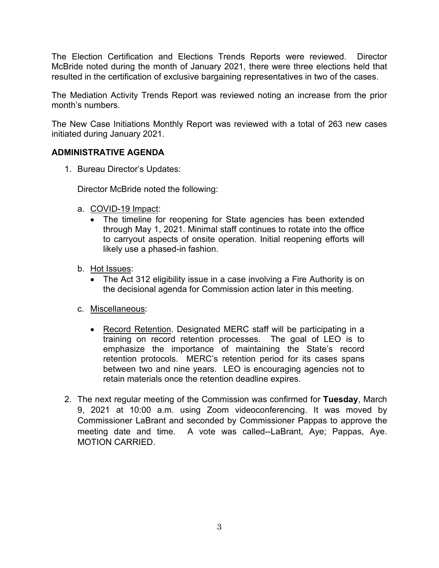The Election Certification and Elections Trends Reports were reviewed. Director McBride noted during the month of January 2021, there were three elections held that resulted in the certification of exclusive bargaining representatives in two of the cases.

The Mediation Activity Trends Report was reviewed noting an increase from the prior month's numbers.

The New Case Initiations Monthly Report was reviewed with a total of 263 new cases initiated during January 2021.

## **ADMINISTRATIVE AGENDA**

1. Bureau Director's Updates:

Director McBride noted the following:

- a. COVID-19 Impact:
	- The timeline for reopening for State agencies has been extended through May 1, 2021. Minimal staff continues to rotate into the office to carryout aspects of onsite operation. Initial reopening efforts will likely use a phased-in fashion.
- b. Hot Issues:
	- The Act 312 eligibility issue in a case involving a Fire Authority is on the decisional agenda for Commission action later in this meeting.
- c. Miscellaneous:
	- Record Retention. Designated MERC staff will be participating in a training on record retention processes. The goal of LEO is to emphasize the importance of maintaining the State's record retention protocols. MERC's retention period for its cases spans between two and nine years. LEO is encouraging agencies not to retain materials once the retention deadline expires.
- 2. The next regular meeting of the Commission was confirmed for **Tuesday**, March 9, 2021 at 10:00 a.m. using Zoom videoconferencing. It was moved by Commissioner LaBrant and seconded by Commissioner Pappas to approve the meeting date and time. A vote was called--LaBrant, Aye; Pappas, Aye. MOTION CARRIED.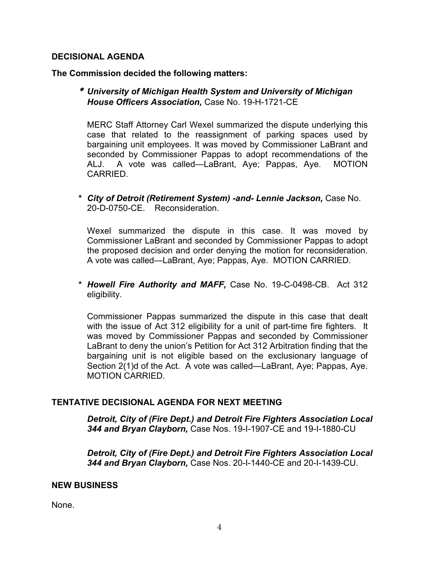#### **DECISIONAL AGENDA**

**The Commission decided the following matters:**

\* *University of Michigan Health System and University of Michigan House Officers Association,* Case No. 19-H-1721-CE

MERC Staff Attorney Carl Wexel summarized the dispute underlying this case that related to the reassignment of parking spaces used by bargaining unit employees. It was moved by Commissioner LaBrant and seconded by Commissioner Pappas to adopt recommendations of the ALJ. A vote was called—LaBrant, Aye; Pappas, Aye. MOTION **CARRIED.** 

*\* City of Detroit (Retirement System) -and- Lennie Jackson,* Case No. 20-D-0750-CE. Reconsideration.

Wexel summarized the dispute in this case. It was moved by Commissioner LaBrant and seconded by Commissioner Pappas to adopt the proposed decision and order denying the motion for reconsideration. A vote was called—LaBrant, Aye; Pappas, Aye. MOTION CARRIED.

*\* Howell Fire Authority and MAFF,* Case No. 19-C-0498-CB. Act 312 eligibility.

Commissioner Pappas summarized the dispute in this case that dealt with the issue of Act 312 eligibility for a unit of part-time fire fighters. It was moved by Commissioner Pappas and seconded by Commissioner LaBrant to deny the union's Petition for Act 312 Arbitration finding that the bargaining unit is not eligible based on the exclusionary language of Section 2(1)d of the Act. A vote was called—LaBrant, Aye; Pappas, Aye. MOTION CARRIED.

### **TENTATIVE DECISIONAL AGENDA FOR NEXT MEETING**

*Detroit, City of (Fire Dept.) and Detroit Fire Fighters Association Local 344 and Bryan Clayborn,* Case Nos. 19-I-1907-CE and 19-I-1880-CU

*Detroit, City of (Fire Dept.) and Detroit Fire Fighters Association Local 344 and Bryan Clayborn,* Case Nos. 20-I-1440-CE and 20-I-1439-CU.

#### **NEW BUSINESS**

None.